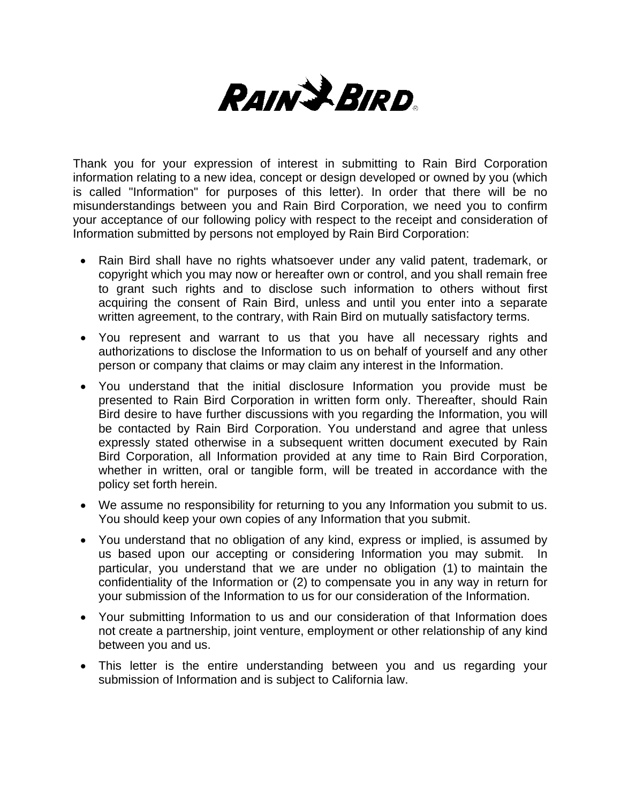

Thank you for your expression of interest in submitting to Rain Bird Corporation information relating to a new idea, concept or design developed or owned by you (which is called "Information" for purposes of this letter). In order that there will be no misunderstandings between you and Rain Bird Corporation, we need you to confirm your acceptance of our following policy with respect to the receipt and consideration of Information submitted by persons not employed by Rain Bird Corporation:

- Rain Bird shall have no rights whatsoever under any valid patent, trademark, or copyright which you may now or hereafter own or control, and you shall remain free to grant such rights and to disclose such information to others without first acquiring the consent of Rain Bird, unless and until you enter into a separate written agreement, to the contrary, with Rain Bird on mutually satisfactory terms.
- You represent and warrant to us that you have all necessary rights and authorizations to disclose the Information to us on behalf of yourself and any other person or company that claims or may claim any interest in the Information.
- You understand that the initial disclosure Information you provide must be presented to Rain Bird Corporation in written form only. Thereafter, should Rain Bird desire to have further discussions with you regarding the Information, you will be contacted by Rain Bird Corporation. You understand and agree that unless expressly stated otherwise in a subsequent written document executed by Rain Bird Corporation, all Information provided at any time to Rain Bird Corporation, whether in written, oral or tangible form, will be treated in accordance with the policy set forth herein.
- We assume no responsibility for returning to you any Information you submit to us. You should keep your own copies of any Information that you submit.
- You understand that no obligation of any kind, express or implied, is assumed by us based upon our accepting or considering Information you may submit. In particular, you understand that we are under no obligation (1) to maintain the confidentiality of the Information or (2) to compensate you in any way in return for your submission of the Information to us for our consideration of the Information.
- Your submitting Information to us and our consideration of that Information does not create a partnership, joint venture, employment or other relationship of any kind between you and us.
- This letter is the entire understanding between you and us regarding your submission of Information and is subject to California law.